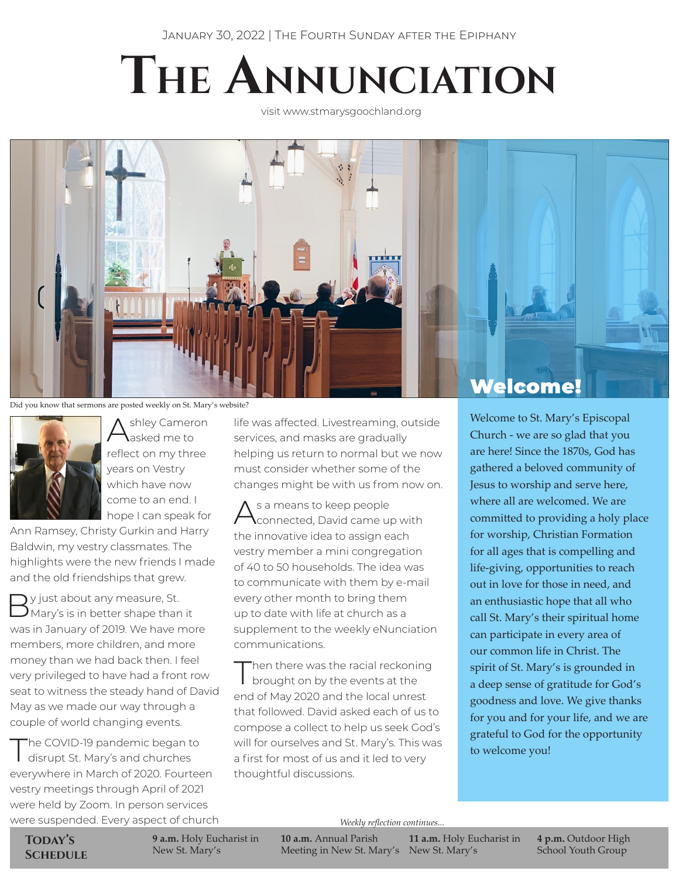# **The Annunciation**

visit www.stmarysgoochland.org



Did you know that sermons are posted weekly on St. Mary's website?



shley Cameron asked me to reflect on my three years on Vestry which have now come to an end. I hope I can speak for

Ann Ramsey, Christy Gurkin and Harry Baldwin, my vestry classmates. The highlights were the new friends I made and the old friendships that grew.

 $\sum y$  just about any measure, St.  $\bm{\mathcal{Y}}$ Mary's is in better shape than it was in January of 2019. We have more members, more children, and more money than we had back then. I feel very privileged to have had a front row seat to witness the steady hand of David May as we made our way through a couple of world changing events.

The COVID-19 pandemic began to disrupt St. Mary's and churches everywhere in March of 2020. Fourteen vestry meetings through April of 2021 were held by Zoom. In person services were suspended. Every aspect of church life was affected. Livestreaming, outside services, and masks are gradually helping us return to normal but we now must consider whether some of the changes might be with us from now on.

s a means to keep people connected, David came up with the innovative idea to assign each vestry member a mini congregation of 40 to 50 households. The idea was to communicate with them by e-mail every other month to bring them up to date with life at church as a supplement to the weekly eNunciation communications.

Then there was the racial reckoning<br>brought on by the events at the end of May 2020 and the local unrest that followed. David asked each of us to compose a collect to help us seek God's will for ourselves and St. Mary's. This was a first for most of us and it led to very thoughtful discussions.

Welcome to St. Mary's Episcopal Church - we are so glad that you are here! Since the 1870s, God has gathered a beloved community of Jesus to worship and serve here, where all are welcomed. We are committed to providing a holy place for worship, Christian Formation for all ages that is compelling and life-giving, opportunities to reach out in love for those in need, and an enthusiastic hope that all who call St. Mary's their spiritual home can participate in every area of our common life in Christ. The spirit of St. Mary's is grounded in a deep sense of gratitude for God's goodness and love. We give thanks for you and for your life, and we are grateful to God for the opportunity to welcome you!

TODAY'S **Schedule** **9 a.m.** Holy Eucharist in New St. Mary's

*Weekly reflection continues...* **10 a.m.** Annual Parish

Meeting in New St. Mary's New St. Mary's

**11 a.m.** Holy Eucharist in

**4 p.m.** Outdoor High School Youth Group